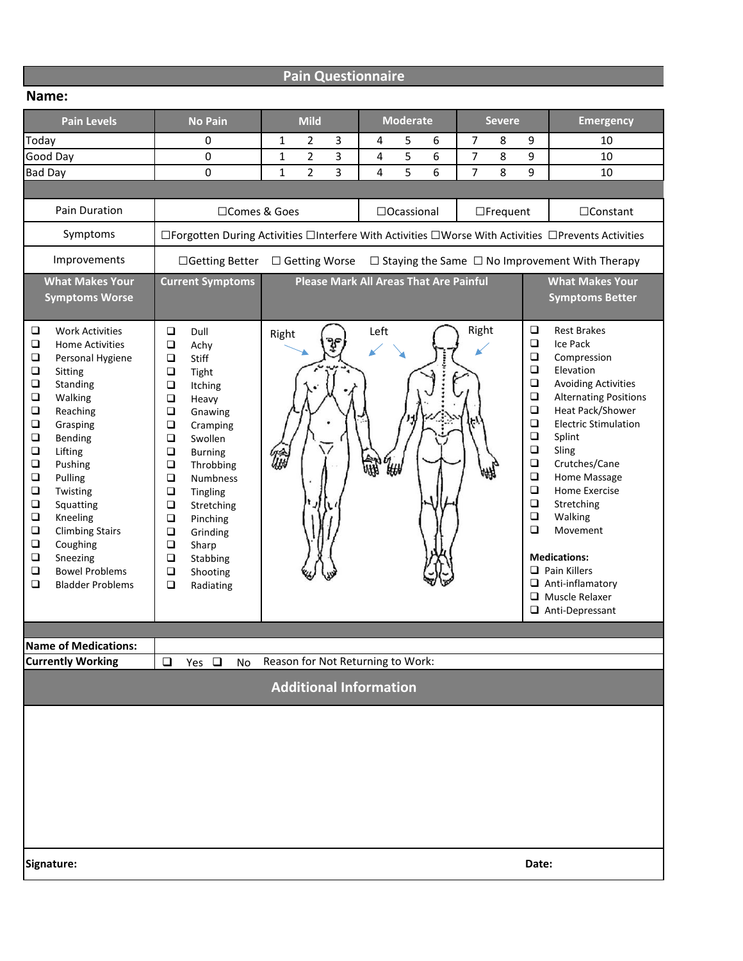|  | <b>Pain Questionnaire</b> |
|--|---------------------------|
|  |                           |

| <b>Pain Levels</b>                                                                                                                                                                                                                                                                                                                                                                                                                                                                                                       | <b>No Pain</b>                                                                                                                                                                                                                                                                                                                                                                                                                                 | <b>Mild</b>                         | <b>Moderate</b>                               | <b>Severe</b>                                                                                                                                                              | <b>Emergency</b>                                                                                                                                                                                                                                                                                                                                                                                           |  |
|--------------------------------------------------------------------------------------------------------------------------------------------------------------------------------------------------------------------------------------------------------------------------------------------------------------------------------------------------------------------------------------------------------------------------------------------------------------------------------------------------------------------------|------------------------------------------------------------------------------------------------------------------------------------------------------------------------------------------------------------------------------------------------------------------------------------------------------------------------------------------------------------------------------------------------------------------------------------------------|-------------------------------------|-----------------------------------------------|----------------------------------------------------------------------------------------------------------------------------------------------------------------------------|------------------------------------------------------------------------------------------------------------------------------------------------------------------------------------------------------------------------------------------------------------------------------------------------------------------------------------------------------------------------------------------------------------|--|
| Today                                                                                                                                                                                                                                                                                                                                                                                                                                                                                                                    | 0                                                                                                                                                                                                                                                                                                                                                                                                                                              | 2<br>3<br>1                         | 5<br>6<br>4                                   | 7<br>9<br>8                                                                                                                                                                | 10                                                                                                                                                                                                                                                                                                                                                                                                         |  |
| Good Day                                                                                                                                                                                                                                                                                                                                                                                                                                                                                                                 | 0                                                                                                                                                                                                                                                                                                                                                                                                                                              | 3<br>$\mathbf{1}$<br>2              | 5<br>6<br>4                                   | 7<br>8<br>9                                                                                                                                                                | 10                                                                                                                                                                                                                                                                                                                                                                                                         |  |
| <b>Bad Day</b>                                                                                                                                                                                                                                                                                                                                                                                                                                                                                                           | $\mathbf{0}$                                                                                                                                                                                                                                                                                                                                                                                                                                   | $\overline{2}$<br>3<br>$\mathbf{1}$ | 5<br>6<br>4                                   | $\overline{7}$<br>9<br>8                                                                                                                                                   | 10                                                                                                                                                                                                                                                                                                                                                                                                         |  |
|                                                                                                                                                                                                                                                                                                                                                                                                                                                                                                                          |                                                                                                                                                                                                                                                                                                                                                                                                                                                |                                     |                                               |                                                                                                                                                                            |                                                                                                                                                                                                                                                                                                                                                                                                            |  |
| Pain Duration                                                                                                                                                                                                                                                                                                                                                                                                                                                                                                            | □Comes & Goes                                                                                                                                                                                                                                                                                                                                                                                                                                  |                                     | $\Box$ Ocassional                             | $\Box$ Frequent                                                                                                                                                            | $\Box$ Constant                                                                                                                                                                                                                                                                                                                                                                                            |  |
| Symptoms                                                                                                                                                                                                                                                                                                                                                                                                                                                                                                                 | □Forgotten During Activities □Interfere With Activities □Worse With Activities □Prevents Activities                                                                                                                                                                                                                                                                                                                                            |                                     |                                               |                                                                                                                                                                            |                                                                                                                                                                                                                                                                                                                                                                                                            |  |
| Improvements                                                                                                                                                                                                                                                                                                                                                                                                                                                                                                             | □Getting Better<br>□ Getting Worse<br>$\Box$ Staying the Same $\Box$ No Improvement With Therapy                                                                                                                                                                                                                                                                                                                                               |                                     |                                               |                                                                                                                                                                            |                                                                                                                                                                                                                                                                                                                                                                                                            |  |
| <b>What Makes Your</b><br><b>Symptoms Worse</b>                                                                                                                                                                                                                                                                                                                                                                                                                                                                          | <b>Current Symptoms</b>                                                                                                                                                                                                                                                                                                                                                                                                                        |                                     | <b>Please Mark All Areas That Are Painful</b> |                                                                                                                                                                            | <b>What Makes Your</b><br><b>Symptoms Better</b>                                                                                                                                                                                                                                                                                                                                                           |  |
| $\Box$<br><b>Work Activities</b><br>$\Box$<br><b>Home Activities</b><br>$\Box$<br>Personal Hygiene<br>$\Box$<br>Sitting<br>$\Box$<br>Standing<br>$\Box$<br>Walking<br>$\Box$<br>Reaching<br>$\Box$<br>Grasping<br>$\Box$<br>Bending<br>$\Box$<br>Lifting<br>$\Box$<br>Pushing<br>$\Box$<br>Pulling<br>$\Box$<br>Twisting<br>$\Box$<br>Squatting<br>$\Box$<br>Kneeling<br>$\Box$<br><b>Climbing Stairs</b><br>$\Box$<br>Coughing<br>$\Box$<br>Sneezing<br>$\Box$<br><b>Bowel Problems</b><br>□<br><b>Bladder Problems</b> | $\Box$<br>Dull<br>$\Box$<br>Achy<br>$\Box$<br>Stiff<br>$\Box$<br>Tight<br>$\Box$<br>Itching<br>$\Box$<br>Heavy<br>$\Box$<br>Gnawing<br>$\Box$<br>Cramping<br>$\Box$<br>Swollen<br>$\Box$<br><b>Burning</b><br>$\Box$<br>Throbbing<br>$\Box$<br><b>Numbness</b><br>$\Box$<br>Tingling<br>$\Box$<br>Stretching<br>$\Box$<br>Pinching<br>$\Box$<br>Grinding<br>$\Box$<br>Sharp<br>$\Box$<br>Stabbing<br>$\Box$<br>Shooting<br>$\Box$<br>Radiating | Right                               | Left                                          | $\Box$<br>Right<br>$\Box$<br>$\Box$<br>$\Box$<br>$\Box$<br>$\Box$<br>$\Box$<br>$\Box$<br>$\Box$<br>$\Box$<br>$\Box$<br>$\Box$<br>$\Box$<br>$\Box$<br>$\Box$<br>$\Box$<br>0 | <b>Rest Brakes</b><br>Ice Pack<br>Compression<br>Elevation<br><b>Avoiding Activities</b><br><b>Alternating Positions</b><br>Heat Pack/Shower<br><b>Electric Stimulation</b><br>Splint<br>Sling<br>Crutches/Cane<br>Home Massage<br>Home Exercise<br>Stretching<br>Walking<br>Movement<br><b>Medications:</b><br>$\Box$ Pain Killers<br>$\Box$ Anti-inflamatory<br>Muscle Relaxer<br>$\Box$ Anti-Depressant |  |
|                                                                                                                                                                                                                                                                                                                                                                                                                                                                                                                          |                                                                                                                                                                                                                                                                                                                                                                                                                                                |                                     |                                               |                                                                                                                                                                            |                                                                                                                                                                                                                                                                                                                                                                                                            |  |
| <b>Name of Medications:</b>                                                                                                                                                                                                                                                                                                                                                                                                                                                                                              |                                                                                                                                                                                                                                                                                                                                                                                                                                                |                                     |                                               |                                                                                                                                                                            |                                                                                                                                                                                                                                                                                                                                                                                                            |  |
| <b>Currently Working</b>                                                                                                                                                                                                                                                                                                                                                                                                                                                                                                 | $\Box$<br>Yes $\Box$<br>No                                                                                                                                                                                                                                                                                                                                                                                                                     | Reason for Not Returning to Work:   |                                               |                                                                                                                                                                            |                                                                                                                                                                                                                                                                                                                                                                                                            |  |
|                                                                                                                                                                                                                                                                                                                                                                                                                                                                                                                          |                                                                                                                                                                                                                                                                                                                                                                                                                                                | <b>Additional Information</b>       |                                               |                                                                                                                                                                            |                                                                                                                                                                                                                                                                                                                                                                                                            |  |
|                                                                                                                                                                                                                                                                                                                                                                                                                                                                                                                          |                                                                                                                                                                                                                                                                                                                                                                                                                                                |                                     |                                               |                                                                                                                                                                            |                                                                                                                                                                                                                                                                                                                                                                                                            |  |
| Signature:                                                                                                                                                                                                                                                                                                                                                                                                                                                                                                               |                                                                                                                                                                                                                                                                                                                                                                                                                                                |                                     |                                               | Date:                                                                                                                                                                      |                                                                                                                                                                                                                                                                                                                                                                                                            |  |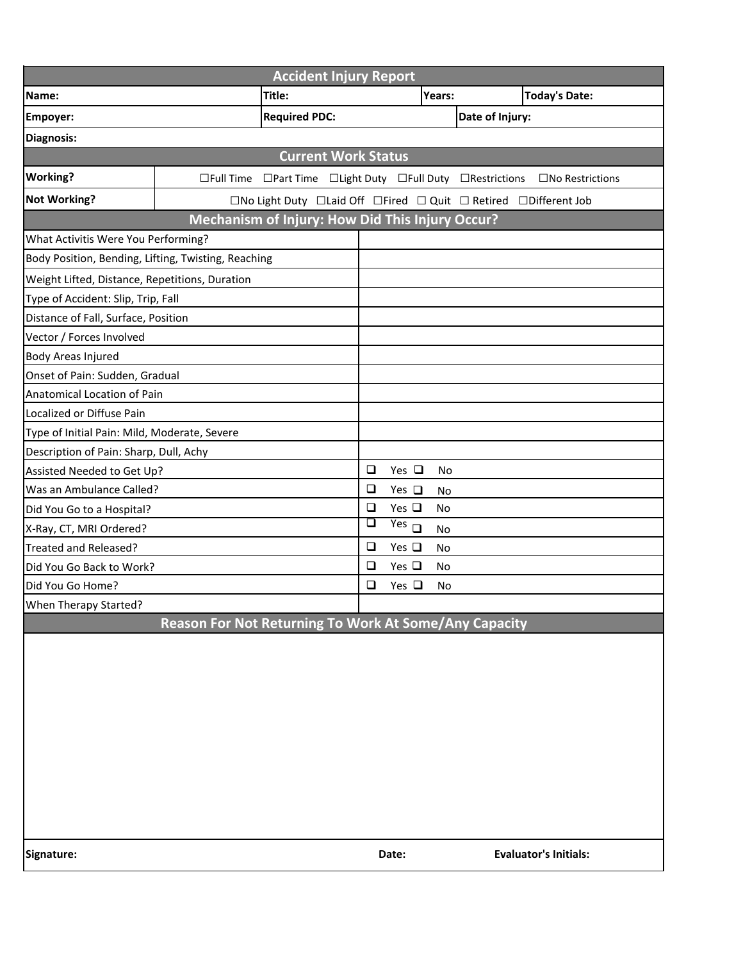| <b>Accident Injury Report</b>                       |                                                       |                                                                                                                     |        |                     |                 |                              |
|-----------------------------------------------------|-------------------------------------------------------|---------------------------------------------------------------------------------------------------------------------|--------|---------------------|-----------------|------------------------------|
| Name:                                               |                                                       | Title:                                                                                                              |        | Years:              |                 | <b>Today's Date:</b>         |
| Empoyer:                                            |                                                       | <b>Required PDC:</b>                                                                                                |        |                     | Date of Injury: |                              |
| Diagnosis:                                          |                                                       |                                                                                                                     |        |                     |                 |                              |
|                                                     |                                                       | <b>Current Work Status</b>                                                                                          |        |                     |                 |                              |
| <b>Working?</b>                                     | $\Box$ Full Time                                      | □Part Time □Light Duty □Full Duty □Restrictions                                                                     |        |                     |                 | $\Box$ No Restrictions       |
| <b>Not Working?</b>                                 |                                                       | $\square$ No Light Duty $\square$ Laid Off $\square$ Fired $\square$ Quit $\square$ Retired $\square$ Different Job |        |                     |                 |                              |
|                                                     |                                                       | Mechanism of Injury: How Did This Injury Occur?                                                                     |        |                     |                 |                              |
| What Activitis Were You Performing?                 |                                                       |                                                                                                                     |        |                     |                 |                              |
| Body Position, Bending, Lifting, Twisting, Reaching |                                                       |                                                                                                                     |        |                     |                 |                              |
| Weight Lifted, Distance, Repetitions, Duration      |                                                       |                                                                                                                     |        |                     |                 |                              |
| Type of Accident: Slip, Trip, Fall                  |                                                       |                                                                                                                     |        |                     |                 |                              |
| Distance of Fall, Surface, Position                 |                                                       |                                                                                                                     |        |                     |                 |                              |
| Vector / Forces Involved                            |                                                       |                                                                                                                     |        |                     |                 |                              |
| <b>Body Areas Injured</b>                           |                                                       |                                                                                                                     |        |                     |                 |                              |
| Onset of Pain: Sudden, Gradual                      |                                                       |                                                                                                                     |        |                     |                 |                              |
| Anatomical Location of Pain                         |                                                       |                                                                                                                     |        |                     |                 |                              |
| Localized or Diffuse Pain                           |                                                       |                                                                                                                     |        |                     |                 |                              |
| Type of Initial Pain: Mild, Moderate, Severe        |                                                       |                                                                                                                     |        |                     |                 |                              |
| Description of Pain: Sharp, Dull, Achy              |                                                       |                                                                                                                     |        |                     |                 |                              |
| Assisted Needed to Get Up?                          |                                                       |                                                                                                                     | $\Box$ | Yes $\Box$<br>No    |                 |                              |
| Was an Ambulance Called?                            |                                                       |                                                                                                                     | $\Box$ | Yes $\square$<br>No |                 |                              |
| Did You Go to a Hospital?                           |                                                       |                                                                                                                     | $\Box$ | Yes $\square$<br>No |                 |                              |
| X-Ray, CT, MRI Ordered?                             |                                                       |                                                                                                                     | $\Box$ | $Yes$ $\Box$<br>No  |                 |                              |
| Treated and Released?                               |                                                       |                                                                                                                     | $\Box$ | Yes $\square$<br>No |                 |                              |
| Did You Go Back to Work?                            |                                                       |                                                                                                                     | $\Box$ | Yes $\square$<br>No |                 |                              |
| Did You Go Home?                                    |                                                       |                                                                                                                     | $\Box$ | Yes $\square$<br>No |                 |                              |
| When Therapy Started?                               |                                                       |                                                                                                                     |        |                     |                 |                              |
|                                                     | Reason For Not Returning To Work At Some/Any Capacity |                                                                                                                     |        |                     |                 |                              |
|                                                     |                                                       |                                                                                                                     |        |                     |                 |                              |
|                                                     |                                                       |                                                                                                                     |        |                     |                 |                              |
|                                                     |                                                       |                                                                                                                     |        |                     |                 |                              |
|                                                     |                                                       |                                                                                                                     |        |                     |                 |                              |
|                                                     |                                                       |                                                                                                                     |        |                     |                 |                              |
|                                                     |                                                       |                                                                                                                     |        |                     |                 |                              |
|                                                     |                                                       |                                                                                                                     |        |                     |                 |                              |
|                                                     |                                                       |                                                                                                                     |        |                     |                 |                              |
|                                                     |                                                       |                                                                                                                     |        |                     |                 |                              |
|                                                     |                                                       |                                                                                                                     |        |                     |                 |                              |
|                                                     |                                                       |                                                                                                                     |        |                     |                 |                              |
| Signature:                                          |                                                       |                                                                                                                     |        | Date:               |                 | <b>Evaluator's Initials:</b> |